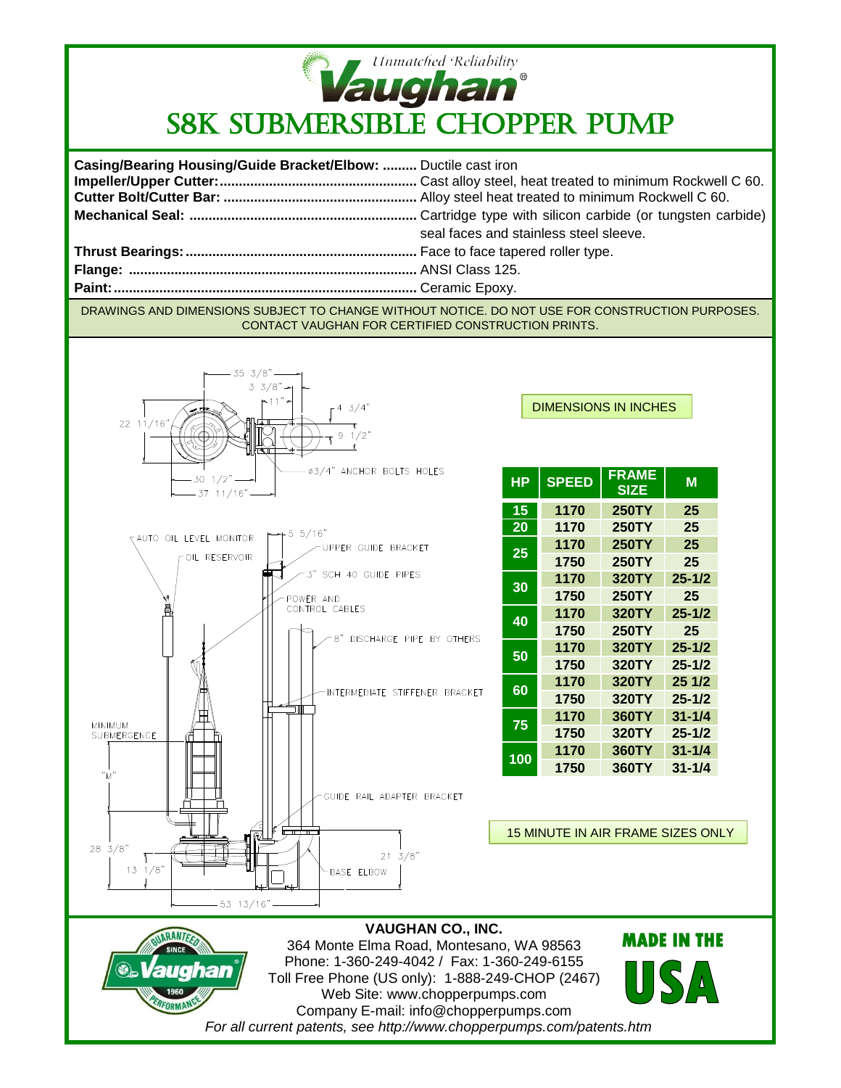

## **Vaughan<sup>®</sup>**<br>S8K SUBMERSIBLE CHOPPER PUMP

| Casing/Bearing Housing/Guide Bracket/Elbow:  Ductile cast iron |                                        |
|----------------------------------------------------------------|----------------------------------------|
|                                                                |                                        |
|                                                                |                                        |
|                                                                |                                        |
|                                                                | seal faces and stainless steel sleeve. |
|                                                                |                                        |
|                                                                |                                        |
|                                                                |                                        |

DRAWINGS AND DIMENSIONS SUBJECT TO CHANGE WITHOUT NOTICE. DO NOT USE FOR CONSTRUCTION PURPOSES. CONTACT VAUGHAN FOR CERTIFIED CONSTRUCTION PRINTS.